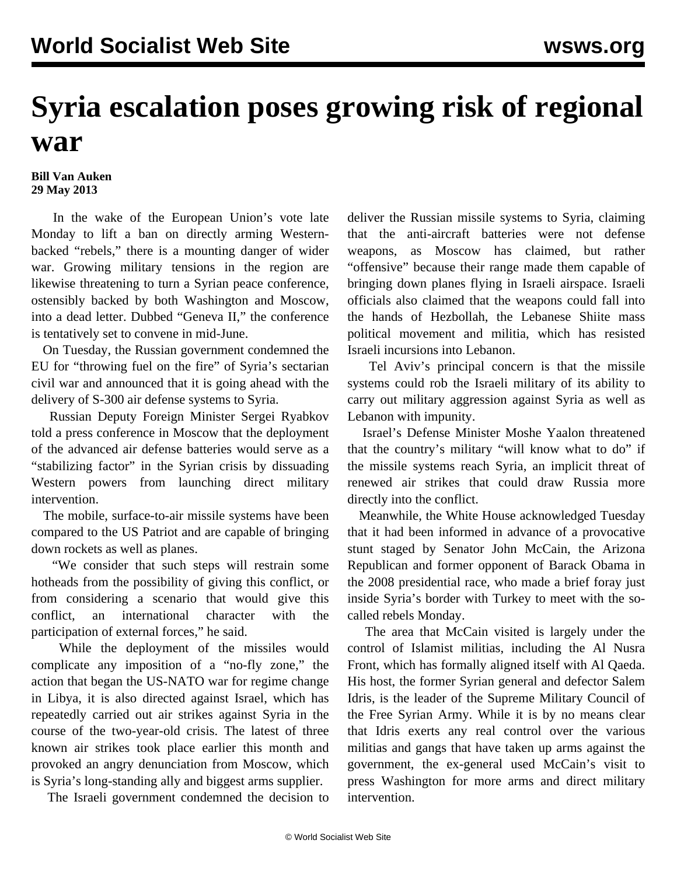## **Syria escalation poses growing risk of regional war**

## **Bill Van Auken 29 May 2013**

 In the wake of the European Union's vote late Monday to lift a ban on directly arming Westernbacked "rebels," there is a mounting danger of wider war. Growing military tensions in the region are likewise threatening to turn a Syrian peace conference, ostensibly backed by both Washington and Moscow, into a dead letter. Dubbed "Geneva II," the conference is tentatively set to convene in mid-June.

 On Tuesday, the Russian government condemned the EU for "throwing fuel on the fire" of Syria's sectarian civil war and announced that it is going ahead with the delivery of S-300 air defense systems to Syria.

 Russian Deputy Foreign Minister Sergei Ryabkov told a press conference in Moscow that the deployment of the advanced air defense batteries would serve as a "stabilizing factor" in the Syrian crisis by dissuading Western powers from launching direct military intervention.

 The mobile, surface-to-air missile systems have been compared to the US Patriot and are capable of bringing down rockets as well as planes.

 "We consider that such steps will restrain some hotheads from the possibility of giving this conflict, or from considering a scenario that would give this conflict, an international character with the participation of external forces," he said.

 While the deployment of the missiles would complicate any imposition of a "no-fly zone," the action that began the US-NATO war for regime change in Libya, it is also directed against Israel, which has repeatedly carried out air strikes against Syria in the course of the two-year-old crisis. The latest of three known air strikes took place earlier this month and provoked an angry denunciation from Moscow, which is Syria's long-standing ally and biggest arms supplier.

The Israeli government condemned the decision to

deliver the Russian missile systems to Syria, claiming that the anti-aircraft batteries were not defense weapons, as Moscow has claimed, but rather "offensive" because their range made them capable of bringing down planes flying in Israeli airspace. Israeli officials also claimed that the weapons could fall into the hands of Hezbollah, the Lebanese Shiite mass political movement and militia, which has resisted Israeli incursions into Lebanon.

 Tel Aviv's principal concern is that the missile systems could rob the Israeli military of its ability to carry out military aggression against Syria as well as Lebanon with impunity.

 Israel's Defense Minister Moshe Yaalon threatened that the country's military "will know what to do" if the missile systems reach Syria, an implicit threat of renewed air strikes that could draw Russia more directly into the conflict.

 Meanwhile, the White House acknowledged Tuesday that it had been informed in advance of a provocative stunt staged by Senator John McCain, the Arizona Republican and former opponent of Barack Obama in the 2008 presidential race, who made a brief foray just inside Syria's border with Turkey to meet with the socalled rebels Monday.

 The area that McCain visited is largely under the control of Islamist militias, including the Al Nusra Front, which has formally aligned itself with Al Qaeda. His host, the former Syrian general and defector Salem Idris, is the leader of the Supreme Military Council of the Free Syrian Army. While it is by no means clear that Idris exerts any real control over the various militias and gangs that have taken up arms against the government, the ex-general used McCain's visit to press Washington for more arms and direct military intervention.